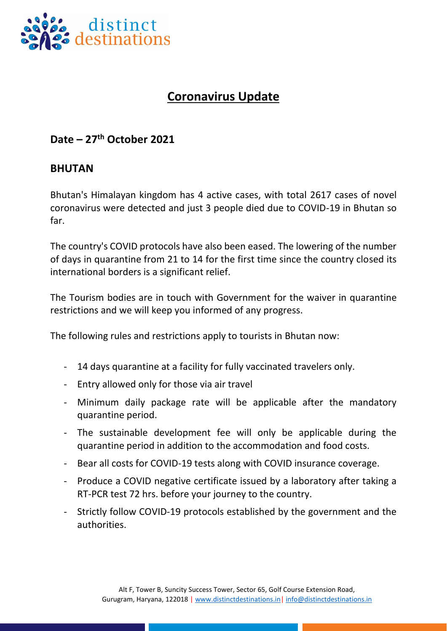

## **Coronavirus Update**

## **Date – 27th October 2021**

## **BHUTAN**

Bhutan's Himalayan kingdom has 4 active cases, with total 2617 cases of novel coronavirus were detected and just 3 people died due to COVID-19 in Bhutan so far.

The country's COVID protocols have also been eased. The lowering of the number of days in quarantine from 21 to 14 for the first time since the country closed its international borders is a significant relief.

The Tourism bodies are in touch with Government for the waiver in quarantine restrictions and we will keep you informed of any progress.

The following rules and restrictions apply to tourists in Bhutan now:

- 14 days quarantine at a facility for fully vaccinated travelers only.
- Entry allowed only for those via air travel
- Minimum daily package rate will be applicable after the mandatory quarantine period.
- The sustainable development fee will only be applicable during the quarantine period in addition to the accommodation and food costs.
- Bear all costs for COVID-19 tests along with COVID insurance coverage.
- Produce a COVID negative certificate issued by a laboratory after taking a RT-PCR test 72 hrs. before your journey to the country.
- Strictly follow COVID-19 protocols established by the government and the authorities.